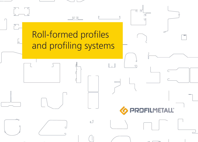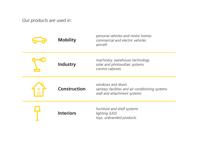*Our products are used in:*

| <b>Mobility</b>     | personal vehicles and motor homes<br>commercial and electric vehicles<br>aircraft                    |
|---------------------|------------------------------------------------------------------------------------------------------|
| <b>Industry</b>     | machinery, warehouse technology<br>solar and photovoltaic systems<br>control cabinets                |
| <b>Construction</b> | windows and doors<br>sanitary facilities and air conditioning systems<br>wall and attachment systems |
| <b>Interiors</b>    | furniture and shelf systems<br>lighting (LED)<br>toys, unbranded products                            |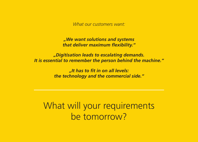*What our customers want:*

*"We want solutions and systems that deliver maximum flexibility."*

*"Digitisation leads to escalating demands. It is essential to remember the person behind the machine."*

> *"It has to fit in on all levels: the technology and the commercial side."*

What will your requirements be tomorrow?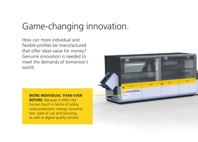## Game-changing innovation.

How can more individual and flexible profiles be manufactured that offer ideal value for money? Genuine innovation is needed to meet the demands of tomorrow's world.

### **MORE INDIVIDUAL THAN EVER**

**BEFORE.** Because it offers the human touch in terms of safety, noise protection, energy consumption, ease of use and servicing, as well as digital quality control.

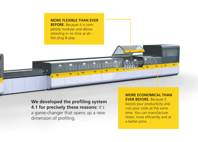#### **MORE FLEXIBLE THAN EVER**

**BEFORE.** Because it is completely modular and allows retooling in no time at all – like plug & play.

**We developed the profiling system 4.1 for precisely these reasons:** it's a game-changer that opens up a new dimension of profiling.

**MORE ECONOMICAL THAN EVER BEFORE.** Because it boosts your productivity and cuts your costs at the same time. You can manufacture faster, more efficiently and at a better price.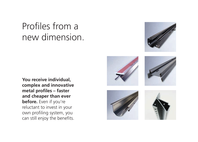# Profiles from a new dimension.

**You receive individual, complex and innovative metal profiles – faster and cheaper than ever before.** Even if you're reluctant to invest in your own profiling system, you can still enjoy the benefits.

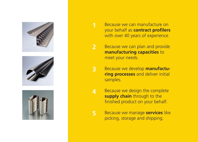





- Because we can manufacture on your behalf as **contract profilers** with over 40 years of experience.
- **2** Because we can plan and provide **manufacturing capacities** to meet your needs.
- **3** Because we develop **manufacturing processes** and deliver initial samples.
	- Because we design the complete **supply chain** through to the finished product on your behalf.
- **5** Because we manage **services** like picking, storage and shipping.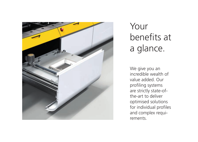

# Your benefits at a glance.

We give you an incredible wealth of value added. Our profiling systems are strictly state-ofthe-art to deliver optimised solutions for individual profiles and complex requirements.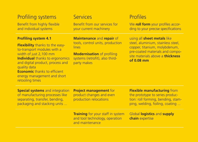| <b>Profiling systems</b><br>Benefit from highly flexible<br>and individual systems                                                                                                                                                                                                                                    | <b>Services</b><br>Benefit from our services for<br>your current machinery                                                                                           | <b>Profiles</b><br>We roll form your profiles accor-<br>ding to your precise specifications                                                                                                      |
|-----------------------------------------------------------------------------------------------------------------------------------------------------------------------------------------------------------------------------------------------------------------------------------------------------------------------|----------------------------------------------------------------------------------------------------------------------------------------------------------------------|--------------------------------------------------------------------------------------------------------------------------------------------------------------------------------------------------|
| <b>Profiling system 4.1</b><br><b>Flexibility</b> thanks to the easy-<br>to-transport modules with a<br>width of just 2,100 mm<br><b>Individual</b> thanks to ergonomics<br>and digital product, process and<br>quality data<br><b>Economic</b> thanks to efficient<br>energy management and short<br>retooling times | <b>Maintenance and repair of</b><br>tools, control units, production<br>lines<br><b>Modernisation</b> of profiling<br>systems (retrofit), also third-<br>party makes | using all sheet metals like<br>steel, aluminium, stainless steel,<br>copper, titanium, molybdenum,<br>pre-coated materials and compo-<br>site materials above a <b>thickness</b><br>of $0.08$ mm |
| <b>Special systems</b> and integration<br>of manufacturing processes like<br>separating, transfer, bending,<br>packaging and stacking units                                                                                                                                                                           | <b>Project management for</b><br>product changes and even<br>production relocations                                                                                  | <b>Flexible manufacturing from</b><br>the prototype to series produc-<br>tion: roll forming, bending, stam-<br>ping, welding, foiling, coating                                                   |
|                                                                                                                                                                                                                                                                                                                       | <b>Training</b> for your staff in system<br>and tool technology, operation<br>and maintenance                                                                        | Global logistics and supply<br>chain expertise                                                                                                                                                   |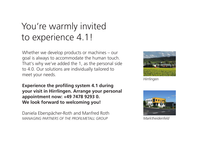# You're warmly invited to experience 4.1!

Whether we develop products or machines – our goal is always to accommodate the human touch. That's why we've added the 1, as the personal side to 4.0. Our solutions are individually tailored to meet your needs.

**Experience the profiling system 4.1 during your visit in Hirrlingen. Arrange your personal appointment now: +49 7478 9293 0. We look forward to welcoming you!**

Daniela Eberspächer-Roth and Manfred Roth *MANAGING PARTNERS OF THE PROFILMETALL GROUP*



*Hirrlingen*



*Marktheidenfeld*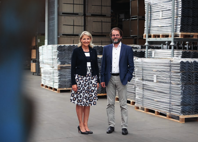